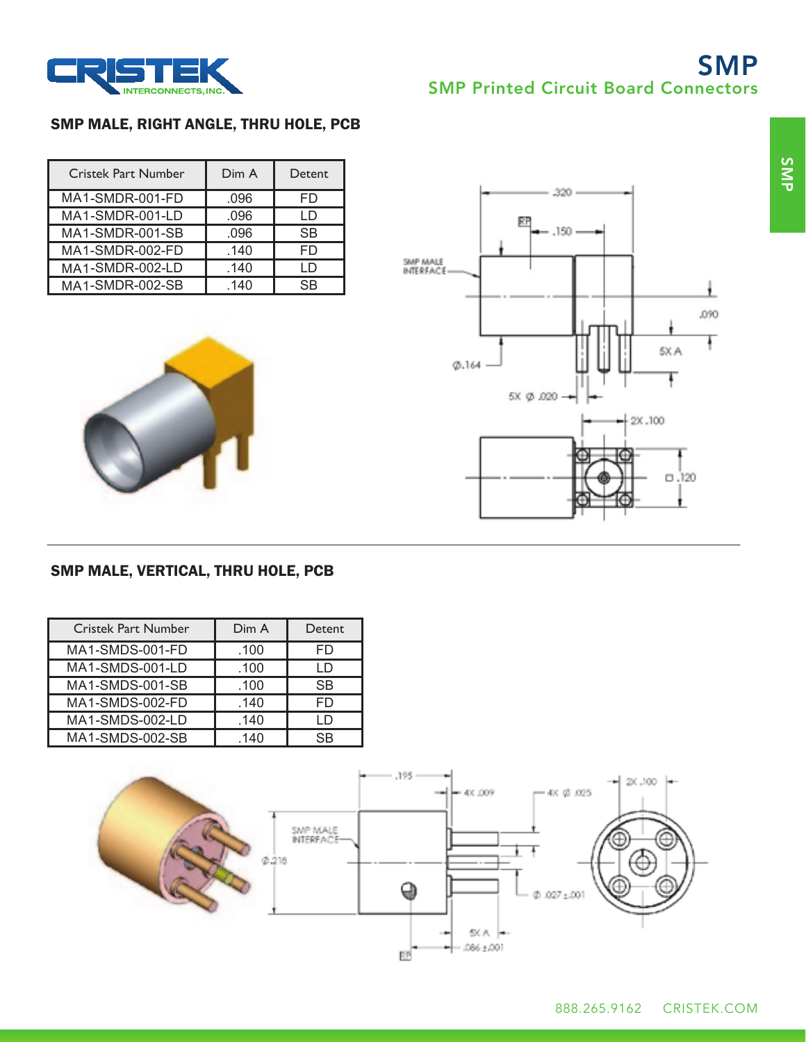

# SMP SMP Printed Circuit Board Connectors

## SMP MALE, RIGHT ANGLE, THRU HOLE, PCB

| <b>Cristek Part Number</b> | Dim A | Detent    |
|----------------------------|-------|-----------|
| MA1-SMDR-001-FD            | .096  | FD        |
| MA1-SMDR-001-LD            | .096  | I D       |
| MA1-SMDR-001-SB            | .096  | <b>SB</b> |
| MA1-SMDR-002-FD            | .140  | FD        |
| MA1-SMDR-002-LD            | .140  | (וו       |
| MA1-SMDR-002-SB            | 140   | SR        |





## SMP MALE, VERTICAL, THRU HOLE, PCB

| <b>Cristek Part Number</b> | Dim A | Detent    |
|----------------------------|-------|-----------|
| MA1-SMDS-001-FD            | .100  | FD        |
| MA1-SMDS-001-LD            | .100  | I D       |
| MA1-SMDS-001-SB            | .100  | <b>SB</b> |
| MA1-SMDS-002-FD            | .140  | FD        |
| MA1-SMDS-002-LD            | .140  |           |
| MA1-SMDS-002-SB            | 140   | SR        |

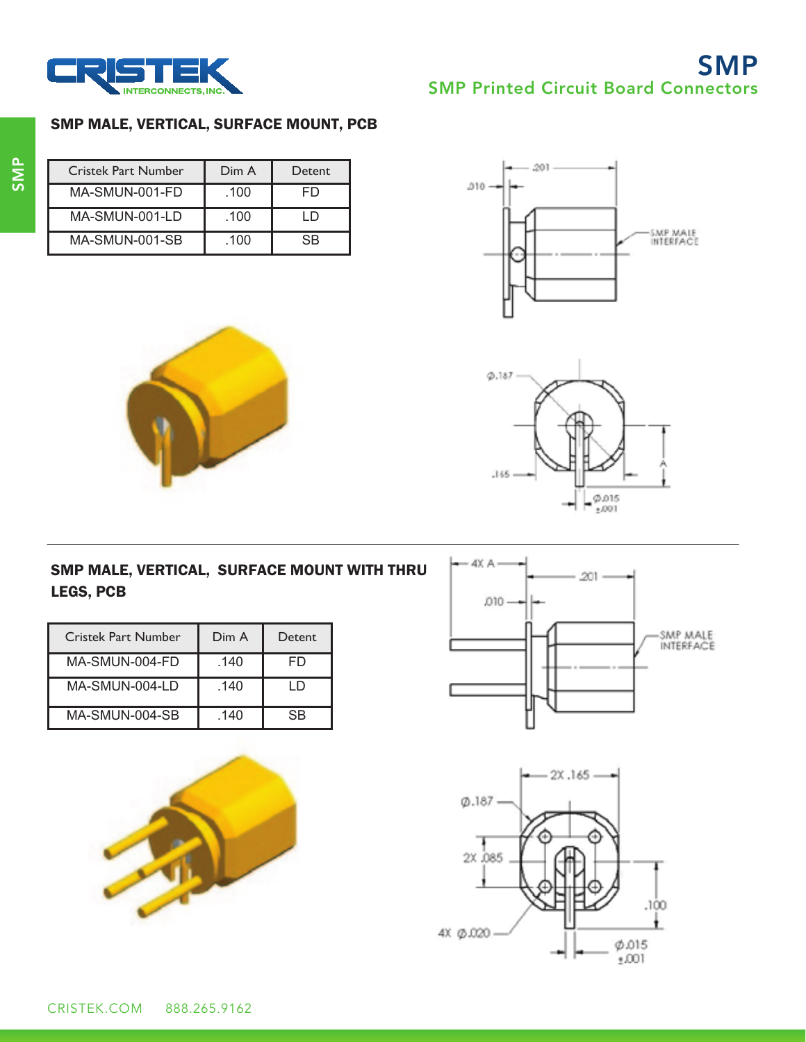

# SMP SMP Printed Circuit Board Connectors

#### SMP MALE, VERTICAL, SURFACE MOUNT, PCB

| <b>Cristek Part Number</b> | Dim A | Detent |
|----------------------------|-------|--------|
| MA-SMUN-001-FD             | .100  | FD     |
| $MA-SMUN-001-LD$           | .100  | $\Box$ |
| MA-SMUN-001-SB             | .100  | SB     |













| Cristek Part Number | Dim A | Detent |
|---------------------|-------|--------|
| MA-SMUN-004-FD      | .140  | FD     |
| $MA-SMUN-004-LD$    | .140  | - D    |
| MA-SMUN-004-SB      | .140  | SB     |

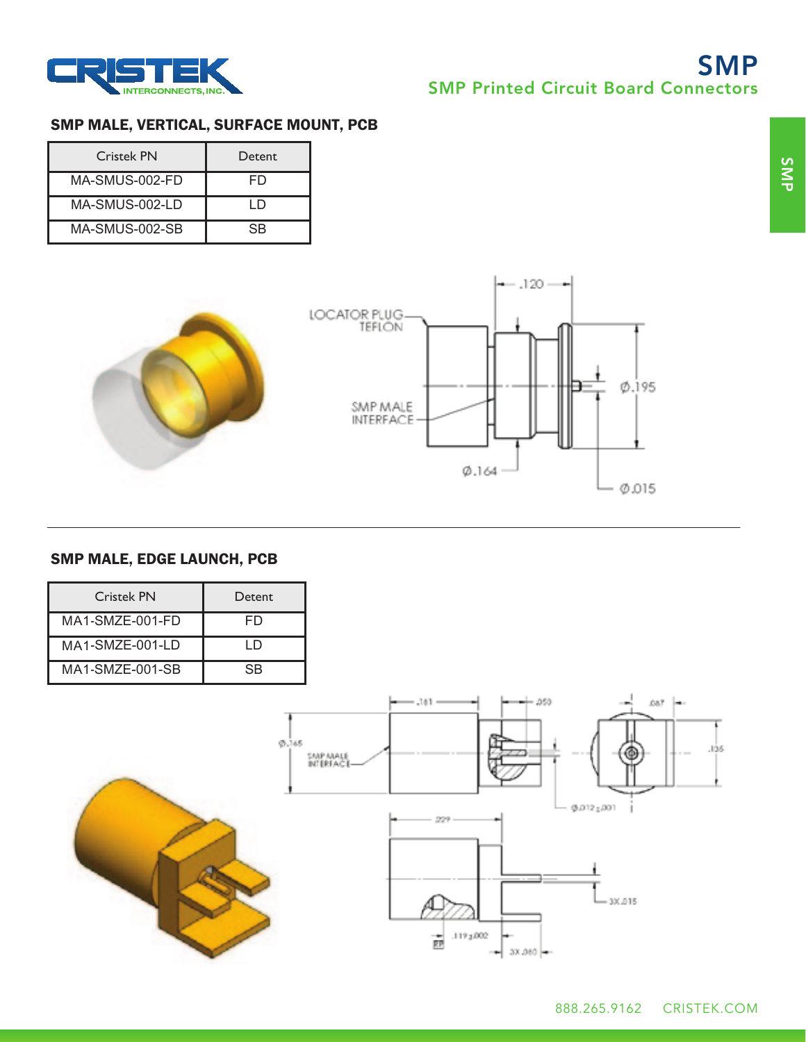



## SMP MALE, VERTICAL, SURFACE MOUNT, PCB

| <b>Cristek PN</b> | <b>Detent</b>  |
|-------------------|----------------|
| MA-SMUS-002-FD    | FD             |
| MA-SMUS-002-LD    | נו ו           |
| MA-SMUS-002-SB    | S <sub>R</sub> |



## SMP MALE, EDGE LAUNCH, PCB

| Cristek PN      | Detent                 |                                                                                                                                                                                      |
|-----------------|------------------------|--------------------------------------------------------------------------------------------------------------------------------------------------------------------------------------|
| MA1-SMZE-001-FD | FD                     |                                                                                                                                                                                      |
| MA1-SMZE-001-LD | LD                     |                                                                                                                                                                                      |
| MA1-SMZE-001-SB | $\overline{\text{SB}}$ |                                                                                                                                                                                      |
|                 | 0.165                  | $\rightarrow - + 050$<br>$\leftarrow$ .181 $-$<br>087 -<br>--<br>.135<br>Ф<br>$+ - -$<br>SMP MALE<br>$-9.012 \pm 0.01$<br>229<br>$-30.015$<br>.1193.002<br>壺<br>⊶-<br>$-$ 3X.080 $-$ |